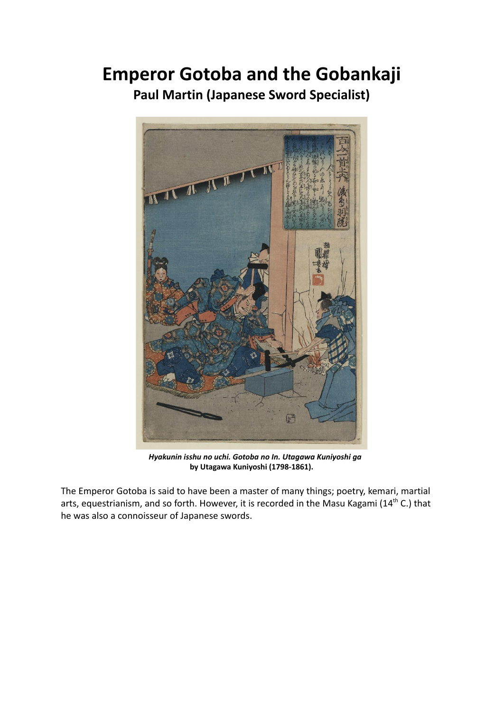## **Emperor Gotoba and the Gobankaji**

**Paul Martin (Japanese Sword Specialist)**



*Hyakunin isshu no uchi. Gotoba no In. Utagawa Kuniyoshi ga* **by Utagawa Kuniyoshi (1798-1861).**

The Emperor Gotoba is said to have been a master of many things; poetry, kemari, martial arts, equestrianism, and so forth. However, it is recorded in the Masu Kagami (14<sup>th</sup> C.) that he was also a connoisseur of Japanese swords.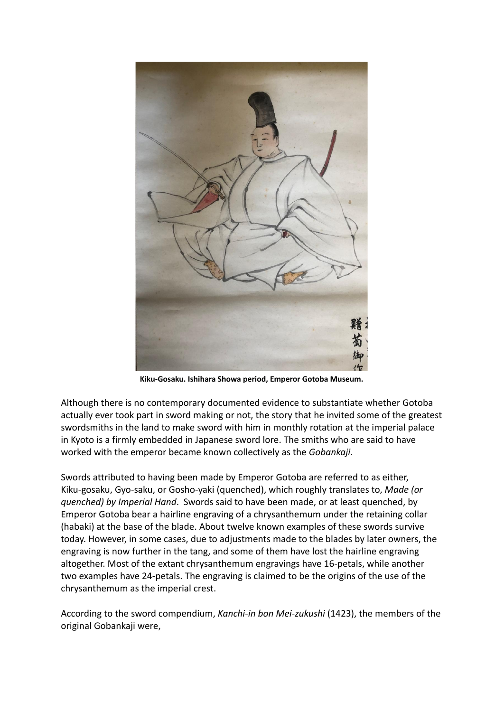

**Kiku-Gosaku. Ishihara Showa period, Emperor Gotoba Museum.**

Although there is no contemporary documented evidence to substantiate whether Gotoba actually ever took part in sword making or not, the story that he invited some of the greatest swordsmiths in the land to make sword with him in monthly rotation at the imperial palace in Kyoto is a firmly embedded in Japanese sword lore. The smiths who are said to have worked with the emperor became known collectively as the *Gobankaji*.

Swords attributed to having been made by Emperor Gotoba are referred to as either, Kiku-gosaku, Gyo-saku, or Gosho-yaki (quenched), which roughly translates to, *Made (or quenched) by Imperial Hand*. Swords said to have been made, or at least quenched, by Emperor Gotoba bear a hairline engraving of a chrysanthemum under the retaining collar (habaki) at the base of the blade. About twelve known examples of these swords survive today. However, in some cases, due to adjustments made to the blades by later owners, the engraving is now further in the tang, and some of them have lost the hairline engraving altogether. Most of the extant chrysanthemum engravings have 16-petals, while another two examples have 24-petals. The engraving is claimed to be the origins of the use of the chrysanthemum as the imperial crest.

According to the sword compendium, *Kanchi-in bon Mei-zukushi* (1423), the members of the original Gobankaji were,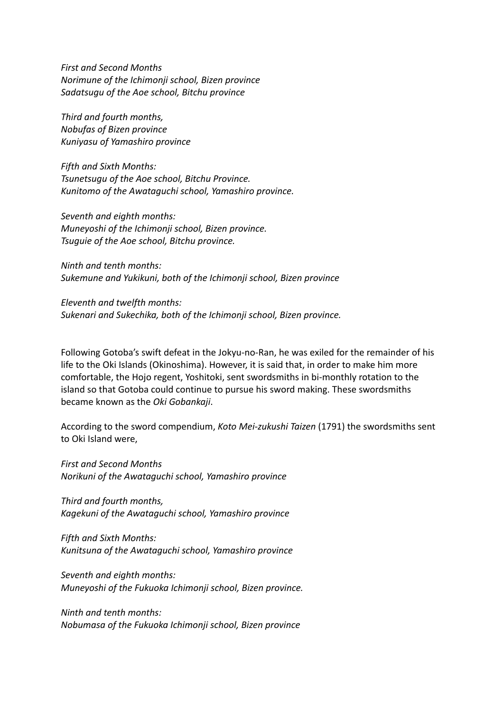*First and Second Months Norimune of the Ichimonji school, Bizen province Sadatsugu of the Aoe school, Bitchu province*

*Third and fourth months, Nobufas of Bizen province Kuniyasu of Yamashiro province*

*Fifth and Sixth Months: Tsunetsugu of the Aoe school, Bitchu Province. Kunitomo of the Awataguchi school, Yamashiro province.*

*Seventh and eighth months: Muneyoshi of the Ichimonji school, Bizen province. Tsuguie of the Aoe school, Bitchu province.*

*Ninth and tenth months: Sukemune and Yukikuni, both of the Ichimonji school, Bizen province*

*Eleventh and twelfth months: Sukenari and Sukechika, both of the Ichimonji school, Bizen province.*

Following Gotoba's swift defeat in the Jokyu-no-Ran, he was exiled for the remainder of his life to the Oki Islands (Okinoshima). However, it is said that, in order to make him more comfortable, the Hojo regent, Yoshitoki, sent swordsmiths in bi-monthly rotation to the island so that Gotoba could continue to pursue his sword making. These swordsmiths became known as the *Oki Gobankaji*.

According to the sword compendium, *Koto Mei-zukushi Taizen* (1791) the swordsmiths sent to Oki Island were,

*First and Second Months Norikuni of the Awataguchi school, Yamashiro province*

*Third and fourth months, Kagekuni of the Awataguchi school, Yamashiro province*

*Fifth and Sixth Months: Kunitsuna of the Awataguchi school, Yamashiro province*

*Seventh and eighth months: Muneyoshi of the Fukuoka Ichimonji school, Bizen province.*

*Ninth and tenth months: Nobumasa of the Fukuoka Ichimonji school, Bizen province*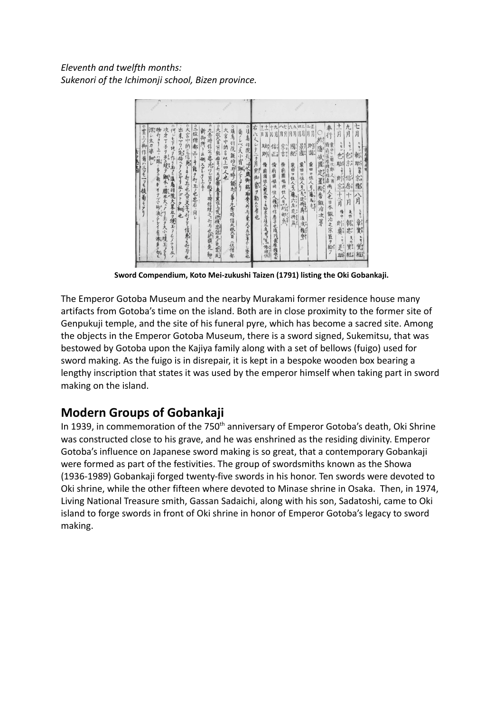*Eleventh and twelfth months: Sukenori of the Ichimonji school, Bizen province.*



**Sword Compendium, Koto Mei-zukushi Taizen (1791) listing the Oki Gobankaji.**

The Emperor Gotoba Museum and the nearby Murakami former residence house many artifacts from Gotoba's time on the island. Both are in close proximity to the former site of Genpukuji temple, and the site of his funeral pyre, which has become a sacred site. Among the objects in the Emperor Gotoba Museum, there is a sword signed, Sukemitsu, that was bestowed by Gotoba upon the Kajiya family along with a set of bellows (fuigo) used for sword making. As the fuigo is in disrepair, it is kept in a bespoke wooden box bearing a lengthy inscription that states it was used by the emperor himself when taking part in sword making on the island.

## **Modern Groups of Gobankaji**

In 1939, in commemoration of the 750<sup>th</sup> anniversary of Emperor Gotoba's death, Oki Shrine was constructed close to his grave, and he was enshrined as the residing divinity. Emperor Gotoba's influence on Japanese sword making is so great, that a contemporary Gobankaji were formed as part of the festivities. The group of swordsmiths known as the Showa (1936-1989) Gobankaji forged twenty-five swords in his honor. Ten swords were devoted to Oki shrine, while the other fifteen where devoted to Minase shrine in Osaka. Then, in 1974, Living National Treasure smith, Gassan Sadaichi, along with his son, Sadatoshi, came to Oki island to forge swords in front of Oki shrine in honor of Emperor Gotoba's legacy to sword making.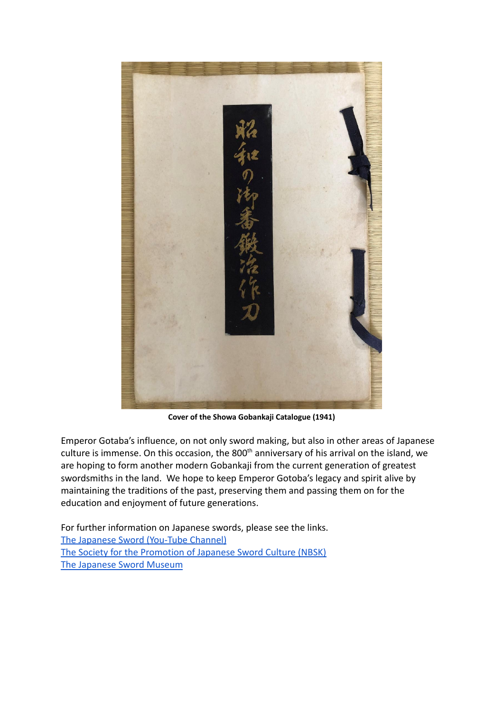

**Cover of the Showa Gobankaji Catalogue (1941)**

Emperor Gotaba's influence, on not only sword making, but also in other areas of Japanese culture is immense. On this occasion, the 800<sup>th</sup> anniversary of his arrival on the island, we are hoping to form another modern Gobankaji from the current generation of greatest swordsmiths in the land. We hope to keep Emperor Gotoba's legacy and spirit alive by maintaining the traditions of the past, preserving them and passing them on for the education and enjoyment of future generations.

For further information on Japanese swords, please see the links. [The Japanese Sword \(You-Tube Channel\)](https://www.youtube.com/c/TheJapaneseSword/featured) [The Society for the Promotion of Japanese Sword Culture](https://nbsk-jp.org/english/) (NBSK) [The Japanese Sword Museum](https://www.touken.or.jp/english/)